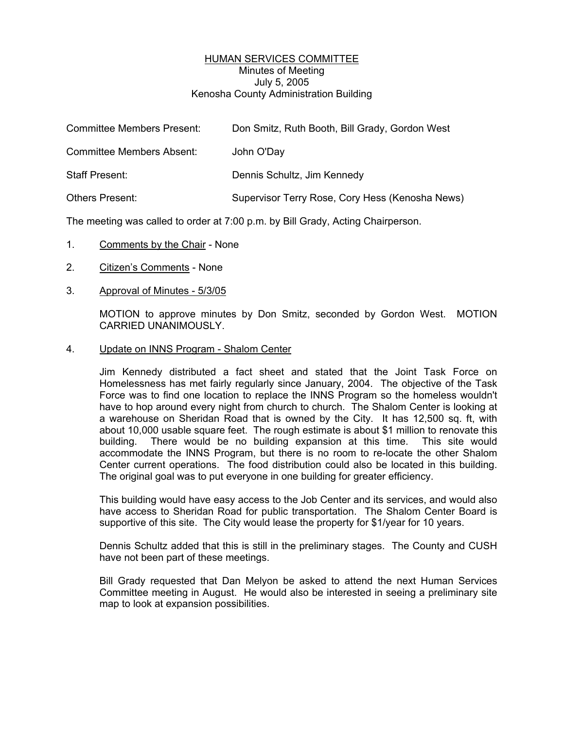## HUMAN SERVICES COMMITTEE Minutes of Meeting July 5, 2005 Kenosha County Administration Building

| <b>Committee Members Present:</b> | Don Smitz, Ruth Booth, Bill Grady, Gordon West  |
|-----------------------------------|-------------------------------------------------|
| <b>Committee Members Absent:</b>  | John O'Day                                      |
| Staff Present:                    | Dennis Schultz, Jim Kennedy                     |
| <b>Others Present:</b>            | Supervisor Terry Rose, Cory Hess (Kenosha News) |

The meeting was called to order at 7:00 p.m. by Bill Grady, Acting Chairperson.

- 1. Comments by the Chair None
- 2. Citizen's Comments None
- 3. Approval of Minutes 5/3/05

MOTION to approve minutes by Don Smitz, seconded by Gordon West. MOTION CARRIED UNANIMOUSLY.

4. Update on INNS Program - Shalom Center

Jim Kennedy distributed a fact sheet and stated that the Joint Task Force on Homelessness has met fairly regularly since January, 2004. The objective of the Task Force was to find one location to replace the INNS Program so the homeless wouldn't have to hop around every night from church to church. The Shalom Center is looking at a warehouse on Sheridan Road that is owned by the City. It has 12,500 sq. ft, with about 10,000 usable square feet. The rough estimate is about \$1 million to renovate this building. There would be no building expansion at this time. This site would accommodate the INNS Program, but there is no room to re-locate the other Shalom Center current operations. The food distribution could also be located in this building. The original goal was to put everyone in one building for greater efficiency.

This building would have easy access to the Job Center and its services, and would also have access to Sheridan Road for public transportation. The Shalom Center Board is supportive of this site. The City would lease the property for \$1/year for 10 years.

Dennis Schultz added that this is still in the preliminary stages. The County and CUSH have not been part of these meetings.

Bill Grady requested that Dan Melyon be asked to attend the next Human Services Committee meeting in August. He would also be interested in seeing a preliminary site map to look at expansion possibilities.